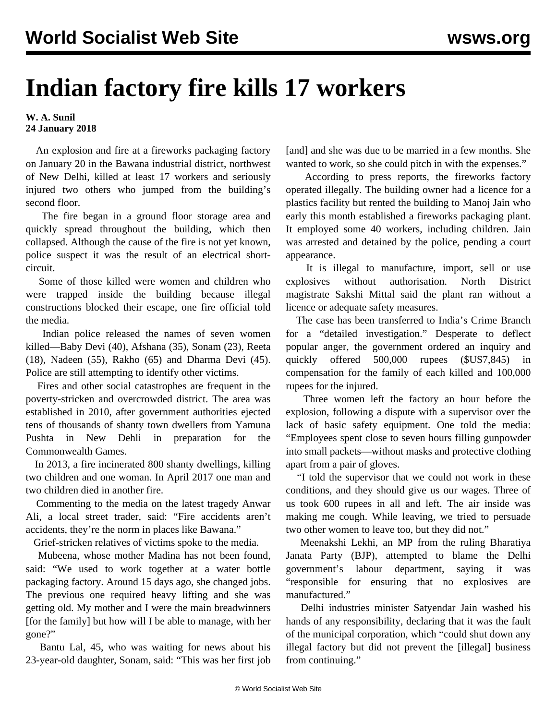## **Indian factory fire kills 17 workers**

## **W. A. Sunil 24 January 2018**

 An explosion and fire at a fireworks packaging factory on January 20 in the Bawana industrial district, northwest of New Delhi, killed at least 17 workers and seriously injured two others who jumped from the building's second floor.

 The fire began in a ground floor storage area and quickly spread throughout the building, which then collapsed. Although the cause of the fire is not yet known, police suspect it was the result of an electrical shortcircuit.

 Some of those killed were women and children who were trapped inside the building because illegal constructions blocked their escape, one fire official told the media.

 Indian police released the names of seven women killed—Baby Devi (40), Afshana (35), Sonam (23), Reeta (18), Nadeen (55), Rakho (65) and Dharma Devi (45). Police are still attempting to identify other victims.

 Fires and other social catastrophes are frequent in the poverty-stricken and overcrowded district. The area was established in 2010, after government authorities ejected tens of thousands of shanty town dwellers from Yamuna Pushta in New Dehli in preparation for the Commonwealth Games.

 In 2013, a fire incinerated 800 shanty dwellings, killing two children and one woman. In April 2017 one man and two children died in another fire.

 Commenting to the media on the latest tragedy Anwar Ali, a local street trader, said: "Fire accidents aren't accidents, they're the norm in places like Bawana."

Grief-stricken relatives of victims spoke to the media.

 Mubeena, whose mother Madina has not been found, said: "We used to work together at a water bottle packaging factory. Around 15 days ago, she changed jobs. The previous one required heavy lifting and she was getting old. My mother and I were the main breadwinners [for the family] but how will I be able to manage, with her gone?"

 Bantu Lal, 45, who was waiting for news about his 23-year-old daughter, Sonam, said: "This was her first job

[and] and she was due to be married in a few months. She wanted to work, so she could pitch in with the expenses."

 According to press reports, the fireworks factory operated illegally. The building owner had a licence for a plastics facility but rented the building to Manoj Jain who early this month established a fireworks packaging plant. It employed some 40 workers, including children. Jain was arrested and detained by the police, pending a court appearance.

 It is illegal to manufacture, import, sell or use explosives without authorisation. North District magistrate Sakshi Mittal said the plant ran without a licence or adequate safety measures.

 The case has been transferred to India's Crime Branch for a "detailed investigation." Desperate to deflect popular anger, the government ordered an inquiry and quickly offered 500,000 rupees (\$US7,845) compensation for the family of each killed and 100,000 rupees for the injured.

 Three women left the factory an hour before the explosion, following a dispute with a supervisor over the lack of basic safety equipment. One told the media: "Employees spent close to seven hours filling gunpowder into small packets—without masks and protective clothing apart from a pair of gloves.

 "I told the supervisor that we could not work in these conditions, and they should give us our wages. Three of us took 600 rupees in all and left. The air inside was making me cough. While leaving, we tried to persuade two other women to leave too, but they did not."

 Meenakshi Lekhi, an MP from the ruling Bharatiya Janata Party (BJP), attempted to blame the Delhi government's labour department, saying it was "responsible for ensuring that no explosives are manufactured."

 Delhi industries minister Satyendar Jain washed his hands of any responsibility, declaring that it was the fault of the municipal corporation, which "could shut down any illegal factory but did not prevent the [illegal] business from continuing."